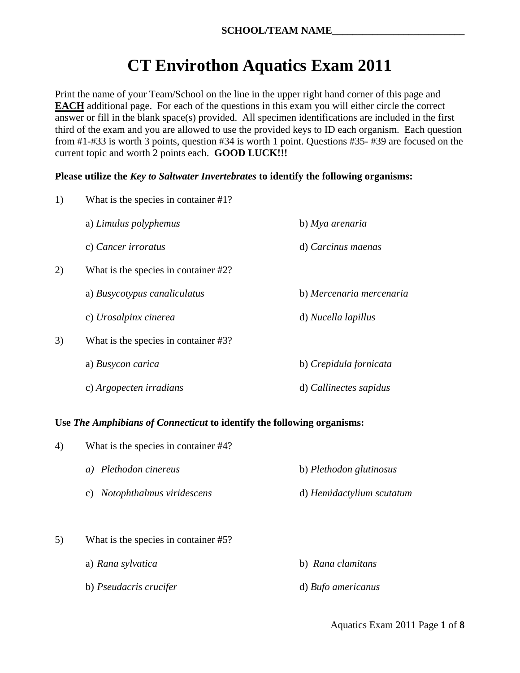# **CT Envirothon Aquatics Exam 2011**

Print the name of your Team/School on the line in the upper right hand corner of this page and **EACH** additional page. For each of the questions in this exam you will either circle the correct answer or fill in the blank space(s) provided. All specimen identifications are included in the first third of the exam and you are allowed to use the provided keys to ID each organism. Each question from #1-#33 is worth 3 points, question #34 is worth 1 point. Questions #35- #39 are focused on the current topic and worth 2 points each. **GOOD LUCK!!!**

### **Please utilize the** *Key to Saltwater Invertebrates* **to identify the following organisms:**

| 1) | What is the species in container #1? |                          |  |
|----|--------------------------------------|--------------------------|--|
|    | a) Limulus polyphemus                | b) Mya arenaria          |  |
|    | c) Cancer irroratus                  | d) Carcinus maenas       |  |
| 2) | What is the species in container #2? |                          |  |
|    | a) Busycotypus canaliculatus         | b) Mercenaria mercenaria |  |
|    | c) Urosalpinx cinerea                | d) Nucella lapillus      |  |
| 3) | What is the species in container #3? |                          |  |
|    | a) Busycon carica                    | b) Crepidula fornicata   |  |
|    | c) Argopecten irradians              | d) Callinectes sapidus   |  |

## **Use** *The Amphibians of Connecticut* **to identify the following organisms:**

| 4) | What is the species in container #4? |                           |  |
|----|--------------------------------------|---------------------------|--|
|    | Plethodon cinereus<br>a)             | b) Plethodon glutinosus   |  |
|    | Notophthalmus viridescens<br>C)      | d) Hemidactylium scutatum |  |
| 5) | What is the species in container #5? |                           |  |

b) *Pseudacris crucifer* d) *Bufo americanus*

a) *Rana sylvatica* b) *Rana clamitans*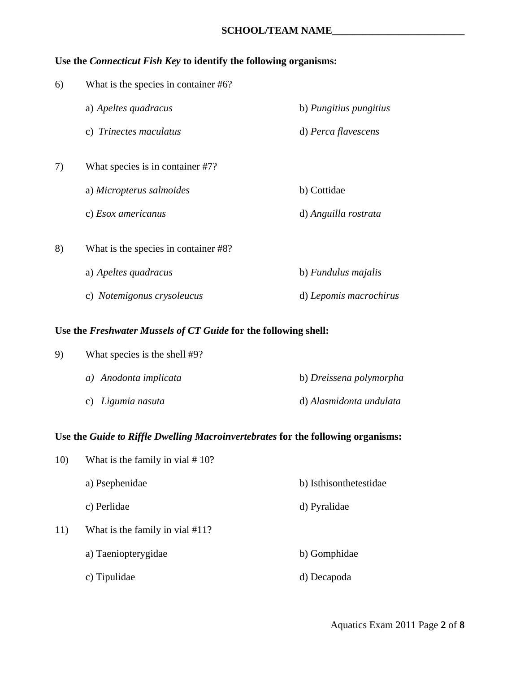### **Use the** *Connecticut Fish Key* **to identify the following organisms:**

| 6) | What is the species in container #6? |                        |  |
|----|--------------------------------------|------------------------|--|
|    | a) Apeltes quadracus                 | b) Pungitius pungitius |  |
|    | c) Trinectes maculatus               | d) Perca flavescens    |  |
| 7) | What species is in container #7?     |                        |  |
|    | a) Micropterus salmoides             | b) Cottidae            |  |
|    | c) Esox americanus                   | d) Anguilla rostrata   |  |
| 8) | What is the species in container #8? |                        |  |
|    | a) Apeltes quadracus                 | b) Fundulus majalis    |  |
|    | c) Notemigonus crysoleucus           | d) Lepomis macrochirus |  |

#### **Use the** *Freshwater Mussels of CT Guide* **for the following shell:**

| 9) | What species is the shell #9? |                         |  |
|----|-------------------------------|-------------------------|--|
|    | a) Anodonta implicata         | b) Dreissena polymorpha |  |
|    | c) Ligumia nasuta             | d) Alasmidonta undulata |  |

## **Use the** *Guide to Riffle Dwelling Macroinvertebrates* **for the following organisms:**

| 10) | What is the family in vial $# 10$ ? |                        |  |
|-----|-------------------------------------|------------------------|--|
|     | a) Psephenidae                      | b) Isthisonthetestidae |  |
|     | c) Perlidae                         | d) Pyralidae           |  |
| 11) | What is the family in vial #11?     |                        |  |
|     | a) Taeniopterygidae                 | b) Gomphidae           |  |
|     | c) Tipulidae                        | d) Decapoda            |  |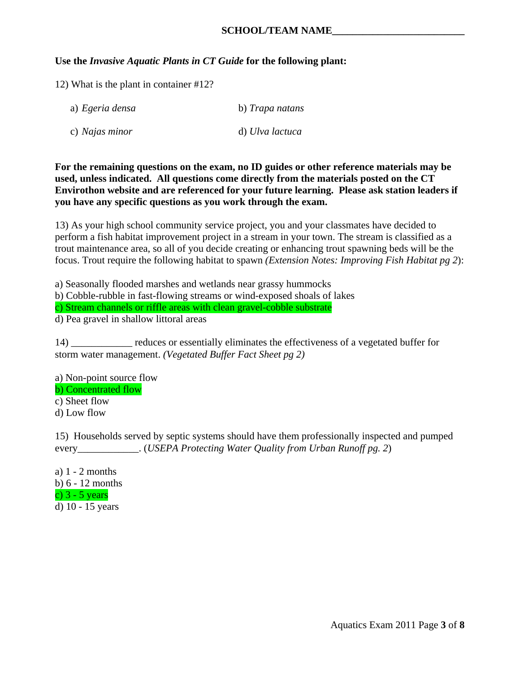#### **SCHOOL/TEAM NAME\_\_\_\_\_\_\_\_\_\_\_\_\_\_\_\_\_\_\_\_\_\_\_\_\_\_**

#### **Use the** *Invasive Aquatic Plants in CT Guide* **for the following plant:**

12) What is the plant in container #12?

| a) Egeria densa | b) Trapa natans |
|-----------------|-----------------|
| c) Najas minor  | d) Ulva lactuca |

**For the remaining questions on the exam, no ID guides or other reference materials may be used, unless indicated. All questions come directly from the materials posted on the CT Envirothon website and are referenced for your future learning. Please ask station leaders if you have any specific questions as you work through the exam.** 

13) As your high school community service project, you and your classmates have decided to perform a fish habitat improvement project in a stream in your town. The stream is classified as a trout maintenance area, so all of you decide creating or enhancing trout spawning beds will be the focus. Trout require the following habitat to spawn *(Extension Notes: Improving Fish Habitat pg 2*):

a) Seasonally flooded marshes and wetlands near grassy hummocks

b) Cobble-rubble in fast-flowing streams or wind-exposed shoals of lakes

c) Stream channels or riffle areas with clean gravel-cobble substrate

d) Pea gravel in shallow littoral areas

14) \_\_\_\_\_\_\_\_\_\_\_\_ reduces or essentially eliminates the effectiveness of a vegetated buffer for storm water management. *(Vegetated Buffer Fact Sheet pg 2)* 

a) Non-point source flow b) Concentrated flow c) Sheet flow d) Low flow

15) Households served by septic systems should have them professionally inspected and pumped every\_\_\_\_\_\_\_\_\_\_\_\_. (*USEPA Protecting Water Quality from Urban Runoff pg. 2*)

a) 1 - 2 months b) 6 - 12 months c) 3 - 5 years d) 10 - 15 years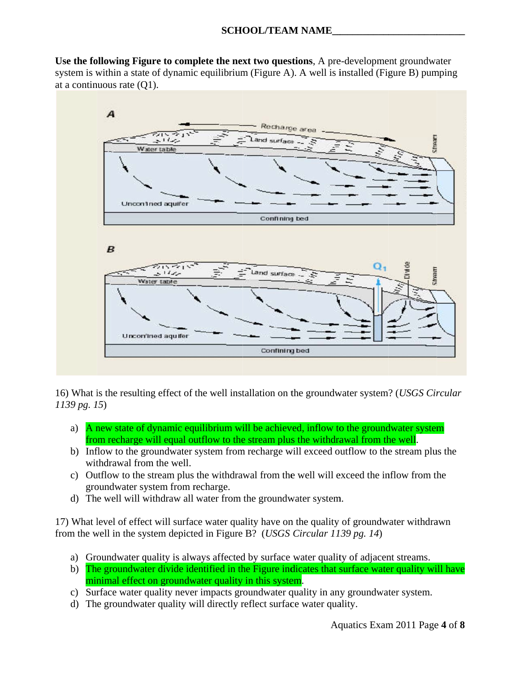**\_\_\_\_\_\_\_\_\_\_**

**\_\_\_\_\_\_\_\_\_\_\_**

**\_\_\_\_\_\_**

Use the following Figure to complete the next two questions, A pre-development groundwater system is within a state of dynamic equilibrium (Figure A). A well is installed (Figure B) pumping at a continuous rate  $(Q1)$ .



16) What is the resulting effect of the well installation on the groundwater system? (*USGS Circular 1139 pg. 15*)

- a) A new state of dynamic equilibrium will be achieved, inflow to the groundwater system from recharge will equal outflow to the stream plus the withdrawal from the well.
- b) Inflow to the groundwater system from recharge will exceed outflow to the stream plus the withdrawal from the well.
- c) Outflow to the stream plus the withdrawal from the well will exceed the inflow from the groundwater system from recharge.
- d) The well will withdraw all water from the groundwater system.

17) What level of effect will surface water quality have on the quality of groundwater withdrawn from the well in the system depicted in Figure B? (*USGS Circular 1139 pg. 14*)

- a) Groundwater quality is always affected by surface water quality of adjacent streams.
- b) The groundwater divide identified in the Figure indicates that surface water quality will have minimal effect on groundwater quality in this system.
- c) Surface water quality never impacts groundwater quality in any groundwater system.
- d) The groundwater quality will directly reflect surface water quality.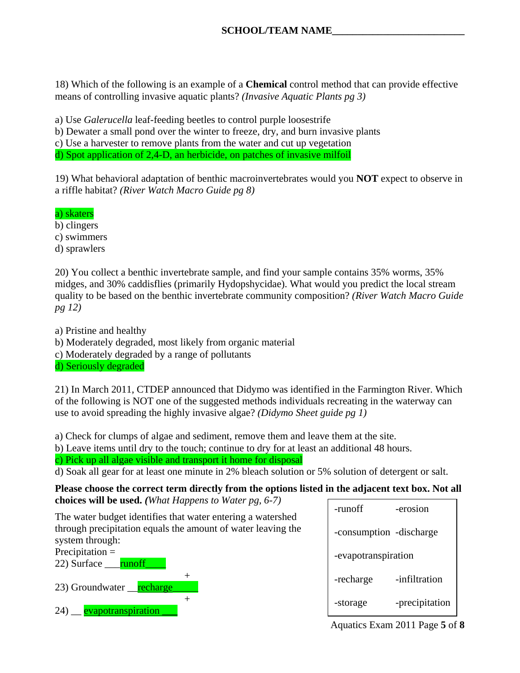18) Which of the following is an example of a **Chemical** control method that can provide effective means of controlling invasive aquatic plants? *(Invasive Aquatic Plants pg 3)* 

a) Use *Galerucella* leaf-feeding beetles to control purple loosestrife

b) Dewater a small pond over the winter to freeze, dry, and burn invasive plants

c) Use a harvester to remove plants from the water and cut up vegetation

d) Spot application of 2,4-D, an herbicide, on patches of invasive milfoil

19) What behavioral adaptation of benthic macroinvertebrates would you **NOT** expect to observe in a riffle habitat? *(River Watch Macro Guide pg 8)* 

a) skaters

b) clingers

c) swimmers

d) sprawlers

20) You collect a benthic invertebrate sample, and find your sample contains 35% worms, 35% midges, and 30% caddisflies (primarily Hydopshycidae). What would you predict the local stream quality to be based on the benthic invertebrate community composition? *(River Watch Macro Guide pg 12)*

a) Pristine and healthy

b) Moderately degraded, most likely from organic material

c) Moderately degraded by a range of pollutants

d) Seriously degraded

21) In March 2011, CTDEP announced that Didymo was identified in the Farmington River. Which of the following is NOT one of the suggested methods individuals recreating in the waterway can use to avoid spreading the highly invasive algae? *(Didymo Sheet guide pg 1)* 

a) Check for clumps of algae and sediment, remove them and leave them at the site.

b) Leave items until dry to the touch; continue to dry for at least an additional 48 hours.

c) Pick up all algae visible and transport it home for disposal

d) Soak all gear for at least one minute in 2% bleach solution or 5% solution of detergent or salt.

**Please choose the correct term directly from the options listed in the adjacent text box. Not all choices will be used.** *(What Happens to Water pg, 6-7)* 

The water budget identifies that water entering a watershed through precipitation equals the amount of water leaving the system through: Precipitation =

 $+$ 



- 23) Groundwater <u>recharge</u> +
- 24) evapotranspiration

| -runoff                 | -erosion       |
|-------------------------|----------------|
| -consumption -discharge |                |
| -evapotranspiration     |                |
| -recharge               | -infiltration  |
| -storage                | -precipitation |

Aquatics Exam 2011 Page **5** of **8**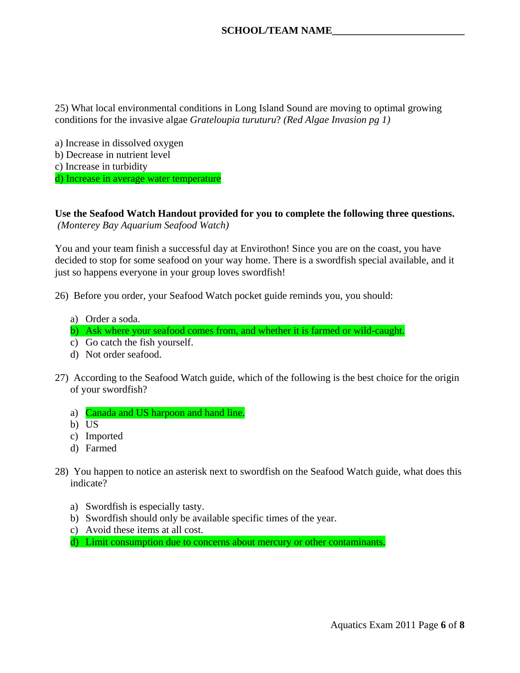25) What local environmental conditions in Long Island Sound are moving to optimal growing conditions for the invasive algae *Grateloupia turuturu*? *(Red Algae Invasion pg 1)* 

a) Increase in dissolved oxygen b) Decrease in nutrient level c) Increase in turbidity d) Increase in average water temperature

**Use the Seafood Watch Handout provided for you to complete the following three questions.**   *(Monterey Bay Aquarium Seafood Watch)* 

You and your team finish a successful day at Envirothon! Since you are on the coast, you have decided to stop for some seafood on your way home. There is a swordfish special available, and it just so happens everyone in your group loves swordfish!

26) Before you order, your Seafood Watch pocket guide reminds you, you should:

- a) Order a soda.
- b) Ask where your seafood comes from, and whether it is farmed or wild-caught.
- c) Go catch the fish yourself.
- d) Not order seafood.
- 27) According to the Seafood Watch guide, which of the following is the best choice for the origin of your swordfish?
	- a) Canada and US harpoon and hand line.
	- b) US
	- c) Imported
	- d) Farmed
- 28) You happen to notice an asterisk next to swordfish on the Seafood Watch guide, what does this indicate?
	- a) Swordfish is especially tasty.
	- b) Swordfish should only be available specific times of the year.
	- c) Avoid these items at all cost.
	- d) Limit consumption due to concerns about mercury or other contaminants.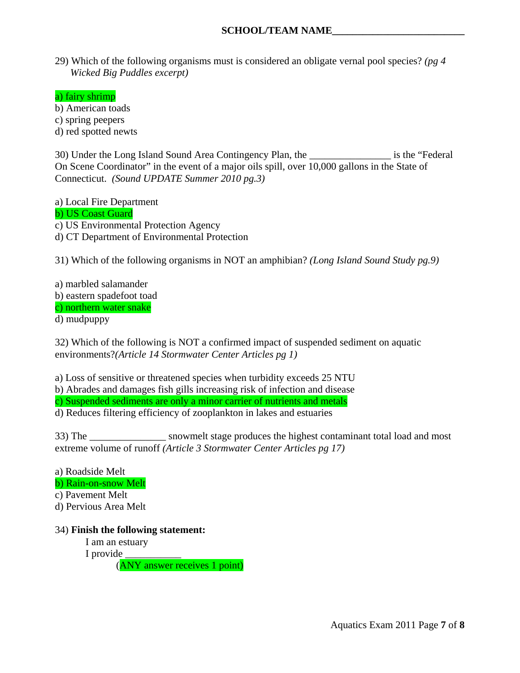#### **SCHOOL/TEAM NAME\_\_\_\_\_\_\_\_\_\_\_\_\_\_\_\_\_\_\_\_\_\_\_\_\_\_**

29) Which of the following organisms must is considered an obligate vernal pool species? *(pg 4 Wicked Big Puddles excerpt)*

a) fairy shrimp

b) American toads

c) spring peepers

d) red spotted newts

30) Under the Long Island Sound Area Contingency Plan, the is the "Federal On Scene Coordinator" in the event of a major oils spill, over 10,000 gallons in the State of Connecticut. *(Sound UPDATE Summer 2010 pg.3)* 

a) Local Fire Department

b) US Coast Guard

c) US Environmental Protection Agency

d) CT Department of Environmental Protection

31) Which of the following organisms in NOT an amphibian? *(Long Island Sound Study pg.9)*

a) marbled salamander b) eastern spadefoot toad c) northern water snake d) mudpuppy

32) Which of the following is NOT a confirmed impact of suspended sediment on aquatic environments?*(Article 14 Stormwater Center Articles pg 1)*

a) Loss of sensitive or threatened species when turbidity exceeds 25 NTU

b) Abrades and damages fish gills increasing risk of infection and disease

c) Suspended sediments are only a minor carrier of nutrients and metals

d) Reduces filtering efficiency of zooplankton in lakes and estuaries

33) The \_\_\_\_\_\_\_\_\_\_\_\_\_\_\_ snowmelt stage produces the highest contaminant total load and most extreme volume of runoff *(Article 3 Stormwater Center Articles pg 17)*

a) Roadside Melt b) Rain-on-snow Melt

c) Pavement Melt

d) Pervious Area Melt

34) **Finish the following statement:** 

I am an estuary

I provide

(ANY answer receives 1 point)